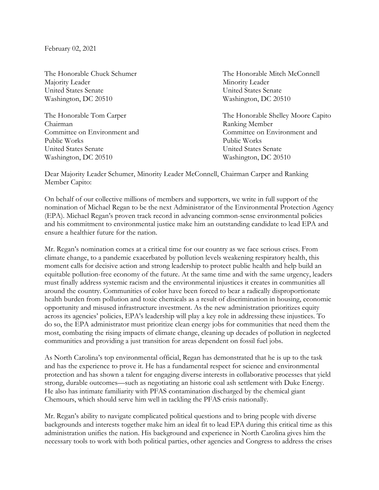February 02, 2021

Majority Leader Minority Leader United States Senate United States Senate Washington, DC 20510 Washington, DC 20510

Chairman Ranking Member Public Works Public Works United States Senate United States Senate Washington, DC 20510 Washington, DC 20510

The Honorable Chuck Schumer The Honorable Mitch McConnell

The Honorable Tom Carper The Honorable Shelley Moore Capito Committee on Environment and Committee on Environment and

Dear Majority Leader Schumer, Minority Leader McConnell, Chairman Carper and Ranking Member Capito:

On behalf of our collective millions of members and supporters, we write in full support of the nomination of Michael Regan to be the next Administrator of the Environmental Protection Agency (EPA). Michael Regan's proven track record in advancing common-sense environmental policies and his commitment to environmental justice make him an outstanding candidate to lead EPA and ensure a healthier future for the nation.

Mr. Regan's nomination comes at a critical time for our country as we face serious crises. From climate change, to a pandemic exacerbated by pollution levels weakening respiratory health, this moment calls for decisive action and strong leadership to protect public health and help build an equitable pollution-free economy of the future. At the same time and with the same urgency, leaders must finally address systemic racism and the environmental injustices it creates in communities all around the country. Communities of color have been forced to bear a radically disproportionate health burden from pollution and toxic chemicals as a result of discrimination in housing, economic opportunity and misused infrastructure investment. As the new administration prioritizes equity across its agencies' policies, EPA's leadership will play a key role in addressing these injustices. To do so, the EPA administrator must prioritize clean energy jobs for communities that need them the most, combating the rising impacts of climate change, cleaning up decades of pollution in neglected communities and providing a just transition for areas dependent on fossil fuel jobs.

As North Carolina's top environmental official, Regan has demonstrated that he is up to the task and has the experience to prove it. He has a fundamental respect for science and environmental protection and has shown a talent for engaging diverse interests in collaborative processes that yield strong, durable outcomes—such as negotiating an historic coal ash settlement with Duke Energy. He also has intimate familiarity with PFAS contamination discharged by the chemical giant Chemours, which should serve him well in tackling the PFAS crisis nationally.

Mr. Regan's ability to navigate complicated political questions and to bring people with diverse backgrounds and interests together make him an ideal fit to lead EPA during this critical time as this administration unifies the nation. His background and experience in North Carolina gives him the necessary tools to work with both political parties, other agencies and Congress to address the crises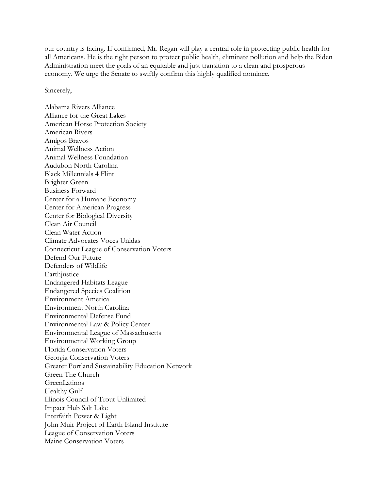our country is facing. If confirmed, Mr. Regan will play a central role in protecting public health for all Americans. He is the right person to protect public health, eliminate pollution and help the Biden Administration meet the goals of an equitable and just transition to a clean and prosperous economy. We urge the Senate to swiftly confirm this highly qualified nominee.

Sincerely,

Alabama Rivers Alliance Alliance for the Great Lakes American Horse Protection Society American Rivers Amigos Bravos Animal Wellness Action Animal Wellness Foundation Audubon North Carolina Black Millennials 4 Flint Brighter Green Business Forward Center for a Humane Economy Center for American Progress Center for Biological Diversity Clean Air Council Clean Water Action Climate Advocates Voces Unidas Connecticut League of Conservation Voters Defend Our Future Defenders of Wildlife Earthjustice Endangered Habitats League Endangered Species Coalition Environment America Environment North Carolina Environmental Defense Fund Environmental Law & Policy Center Environmental League of Massachusetts Environmental Working Group Florida Conservation Voters Georgia Conservation Voters Greater Portland Sustainability Education Network Green The Church GreenLatinos Healthy Gulf Illinois Council of Trout Unlimited Impact Hub Salt Lake Interfaith Power & Light John Muir Project of Earth Island Institute League of Conservation Voters Maine Conservation Voters